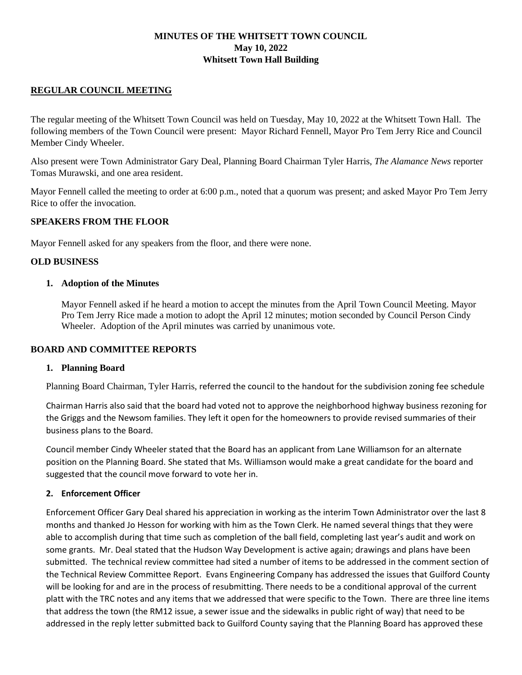## **MINUTES OF THE WHITSETT TOWN COUNCIL May 10, 2022 Whitsett Town Hall Building**

## **REGULAR COUNCIL MEETING**

The regular meeting of the Whitsett Town Council was held on Tuesday, May 10, 2022 at the Whitsett Town Hall. The following members of the Town Council were present: Mayor Richard Fennell, Mayor Pro Tem Jerry Rice and Council Member Cindy Wheeler.

Also present were Town Administrator Gary Deal, Planning Board Chairman Tyler Harris, *The Alamance News* reporter Tomas Murawski, and one area resident.

Mayor Fennell called the meeting to order at 6:00 p.m., noted that a quorum was present; and asked Mayor Pro Tem Jerry Rice to offer the invocation.

### **SPEAKERS FROM THE FLOOR**

Mayor Fennell asked for any speakers from the floor, and there were none.

### **OLD BUSINESS**

### **1. Adoption of the Minutes**

Mayor Fennell asked if he heard a motion to accept the minutes from the April Town Council Meeting. Mayor Pro Tem Jerry Rice made a motion to adopt the April 12 minutes; motion seconded by Council Person Cindy Wheeler. Adoption of the April minutes was carried by unanimous vote.

### **BOARD AND COMMITTEE REPORTS**

### **1. Planning Board**

Planning Board Chairman, Tyler Harris, referred the council to the handout for the subdivision zoning fee schedule

Chairman Harris also said that the board had voted not to approve the neighborhood highway business rezoning for the Griggs and the Newsom families. They left it open for the homeowners to provide revised summaries of their business plans to the Board.

Council member Cindy Wheeler stated that the Board has an applicant from Lane Williamson for an alternate position on the Planning Board. She stated that Ms. Williamson would make a great candidate for the board and suggested that the council move forward to vote her in.

### **2. Enforcement Officer**

Enforcement Officer Gary Deal shared his appreciation in working as the interim Town Administrator over the last 8 months and thanked Jo Hesson for working with him as the Town Clerk. He named several things that they were able to accomplish during that time such as completion of the ball field, completing last year's audit and work on some grants. Mr. Deal stated that the Hudson Way Development is active again; drawings and plans have been submitted. The technical review committee had sited a number of items to be addressed in the comment section of the Technical Review Committee Report. Evans Engineering Company has addressed the issues that Guilford County will be looking for and are in the process of resubmitting. There needs to be a conditional approval of the current platt with the TRC notes and any items that we addressed that were specific to the Town. There are three line items that address the town (the RM12 issue, a sewer issue and the sidewalks in public right of way) that need to be addressed in the reply letter submitted back to Guilford County saying that the Planning Board has approved these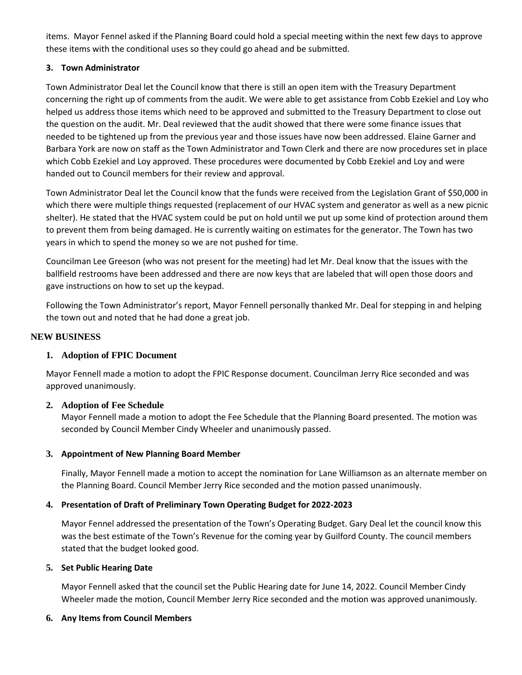items. Mayor Fennel asked if the Planning Board could hold a special meeting within the next few days to approve these items with the conditional uses so they could go ahead and be submitted.

# **3. Town Administrator**

Town Administrator Deal let the Council know that there is still an open item with the Treasury Department concerning the right up of comments from the audit. We were able to get assistance from Cobb Ezekiel and Loy who helped us address those items which need to be approved and submitted to the Treasury Department to close out the question on the audit. Mr. Deal reviewed that the audit showed that there were some finance issues that needed to be tightened up from the previous year and those issues have now been addressed. Elaine Garner and Barbara York are now on staff as the Town Administrator and Town Clerk and there are now procedures set in place which Cobb Ezekiel and Loy approved. These procedures were documented by Cobb Ezekiel and Loy and were handed out to Council members for their review and approval.

Town Administrator Deal let the Council know that the funds were received from the Legislation Grant of \$50,000 in which there were multiple things requested (replacement of our HVAC system and generator as well as a new picnic shelter). He stated that the HVAC system could be put on hold until we put up some kind of protection around them to prevent them from being damaged. He is currently waiting on estimates for the generator. The Town has two years in which to spend the money so we are not pushed for time.

Councilman Lee Greeson (who was not present for the meeting) had let Mr. Deal know that the issues with the ballfield restrooms have been addressed and there are now keys that are labeled that will open those doors and gave instructions on how to set up the keypad.

Following the Town Administrator's report, Mayor Fennell personally thanked Mr. Deal for stepping in and helping the town out and noted that he had done a great job.

## **NEW BUSINESS**

# **1. Adoption of FPIC Document**

Mayor Fennell made a motion to adopt the FPIC Response document. Councilman Jerry Rice seconded and was approved unanimously.

# **2. Adoption of Fee Schedule**

Mayor Fennell made a motion to adopt the Fee Schedule that the Planning Board presented. The motion was seconded by Council Member Cindy Wheeler and unanimously passed.

# **3. Appointment of New Planning Board Member**

Finally, Mayor Fennell made a motion to accept the nomination for Lane Williamson as an alternate member on the Planning Board. Council Member Jerry Rice seconded and the motion passed unanimously.

### **4. Presentation of Draft of Preliminary Town Operating Budget for 2022-2023**

Mayor Fennel addressed the presentation of the Town's Operating Budget. Gary Deal let the council know this was the best estimate of the Town's Revenue for the coming year by Guilford County. The council members stated that the budget looked good.

### **5. Set Public Hearing Date**

Mayor Fennell asked that the council set the Public Hearing date for June 14, 2022. Council Member Cindy Wheeler made the motion, Council Member Jerry Rice seconded and the motion was approved unanimously.

### **6. Any Items from Council Members**